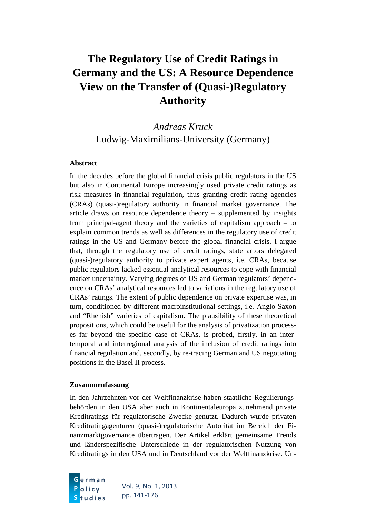# **The Regulatory Use of Credit Ratings in Germany and the US: A Resource Dependence View on the Transfer of (Quasi-)Regulatory Authority**

# *Andreas Kruck* Ludwig-Maximilians-University (Germany)

#### **Abstract**

In the decades before the global financial crisis public regulators in the US but also in Continental Europe increasingly used private credit ratings as risk measures in financial regulation, thus granting credit rating agencies (CRAs) (quasi-)regulatory authority in financial market governance. The article draws on resource dependence theory – supplemented by insights from principal-agent theory and the varieties of capitalism approach – to explain common trends as well as differences in the regulatory use of credit ratings in the US and Germany before the global financial crisis. I argue that, through the regulatory use of credit ratings, state actors delegated (quasi-)regulatory authority to private expert agents, i.e. CRAs, because public regulators lacked essential analytical resources to cope with financial market uncertainty. Varying degrees of US and German regulators' dependence on CRAs' analytical resources led to variations in the regulatory use of CRAs' ratings. The extent of public dependence on private expertise was, in turn, conditioned by different macroinstitutional settings, i.e. Anglo-Saxon and "Rhenish" varieties of capitalism. The plausibility of these theoretical propositions, which could be useful for the analysis of privatization processes far beyond the specific case of CRAs, is probed, firstly, in an intertemporal and interregional analysis of the inclusion of credit ratings into financial regulation and, secondly, by re-tracing German and US negotiating positions in the Basel II process.

#### **Zusammenfassung**

In den Jahrzehnten vor der Weltfinanzkrise haben staatliche Regulierungsbehörden in den USA aber auch in Kontinentaleuropa zunehmend private Kreditratings für regulatorische Zwecke genutzt. Dadurch wurde privaten Kreditratingagenturen (quasi-)regulatorische Autorität im Bereich der Finanzmarktgovernance übertragen. Der Artikel erklärt gemeinsame Trends und länderspezifische Unterschiede in der regulatorischen Nutzung von Kreditratings in den USA und in Deutschland vor der Weltfinanzkrise. Un-

Vol. 9, No. 1, 2013 pp. 141-176 **G erman P olicy S tudies**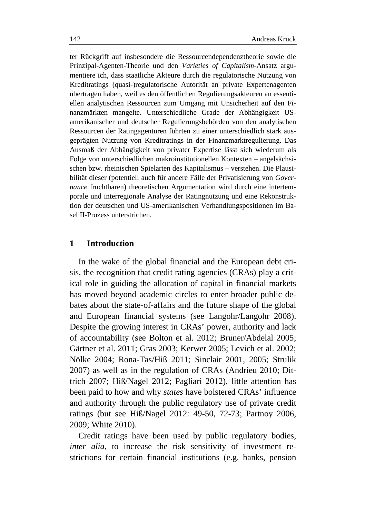ter Rückgriff auf insbesondere die Ressourcendependenztheorie sowie die Prinzipal-Agenten-Theorie und den *Varieties of Capitalism*-Ansatz argumentiere ich, dass staatliche Akteure durch die regulatorische Nutzung von Kreditratings (quasi-)regulatorische Autorität an private Expertenagenten übertragen haben, weil es den öffentlichen Regulierungsakteuren an essentiellen analytischen Ressourcen zum Umgang mit Unsicherheit auf den Finanzmärkten mangelte. Unterschiedliche Grade der Abhängigkeit USamerikanischer und deutscher Regulierungsbehörden von den analytischen Ressourcen der Ratingagenturen führten zu einer unterschiedlich stark ausgeprägten Nutzung von Kreditratings in der Finanzmarktregulierung. Das Ausmaß der Abhängigkeit von privater Expertise lässt sich wiederum als Folge von unterschiedlichen makroinstitutionellen Kontexten – angelsächsischen bzw. rheinischen Spielarten des Kapitalismus – verstehen. Die Plausibilität dieser (potentiell auch für andere Fälle der Privatisierung von *Governance* fruchtbaren) theoretischen Argumentation wird durch eine intertemporale und interregionale Analyse der Ratingnutzung und eine Rekonstruktion der deutschen und US-amerikanischen Verhandlungspositionen im Basel II-Prozess unterstrichen.

#### **1 Introduction**

In the wake of the global financial and the European debt crisis, the recognition that credit rating agencies (CRAs) play a critical role in guiding the allocation of capital in financial markets has moved beyond academic circles to enter broader public debates about the state-of-affairs and the future shape of the global and European financial systems (see Langohr/Langohr 2008). Despite the growing interest in CRAs' power, authority and lack of accountability (see Bolton et al. 2012; Bruner/Abdelal 2005; Gärtner et al. 2011; Gras 2003; Kerwer 2005; Levich et al. 2002; Nölke 2004; Rona-Tas/Hiß 2011; Sinclair 2001, 2005; Strulik 2007) as well as in the regulation of CRAs (Andrieu 2010; Dittrich 2007; Hiß/Nagel 2012; Pagliari 2012), little attention has been paid to how and why *states* have bolstered CRAs' influence and authority through the public regulatory use of private credit ratings (but see Hiß/Nagel 2012: 49-50, 72-73; Partnoy 2006, 2009; White 2010).

Credit ratings have been used by public regulatory bodies, *inter alia*, to increase the risk sensitivity of investment restrictions for certain financial institutions (e.g. banks, pension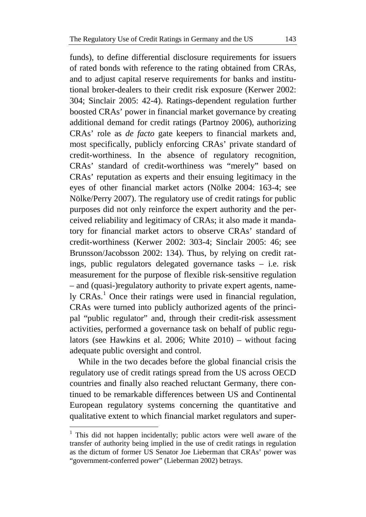funds), to define differential disclosure requirements for issuers of rated bonds with reference to the rating obtained from CRAs, and to adjust capital reserve requirements for banks and institutional broker-dealers to their credit risk exposure (Kerwer 2002: 304; Sinclair 2005: 42-4). Ratings-dependent regulation further boosted CRAs' power in financial market governance by creating additional demand for credit ratings (Partnoy 2006), authorizing CRAs' role as *de facto* gate keepers to financial markets and, most specifically, publicly enforcing CRAs' private standard of credit-worthiness. In the absence of regulatory recognition, CRAs' standard of credit-worthiness was "merely" based on CRAs' reputation as experts and their ensuing legitimacy in the eyes of other financial market actors (Nölke 2004: 163-4; see Nölke/Perry 2007). The regulatory use of credit ratings for public purposes did not only reinforce the expert authority and the perceived reliability and legitimacy of CRAs; it also made it mandatory for financial market actors to observe CRAs' standard of credit-worthiness (Kerwer 2002: 303-4; Sinclair 2005: 46; see Brunsson/Jacobsson 2002: 134). Thus, by relying on credit ratings, public regulators delegated governance tasks – i.e. risk measurement for the purpose of flexible risk-sensitive regulation – and (quasi-)regulatory authority to private expert agents, name-ly CRAs.<sup>[1](#page-2-0)</sup> Once their ratings were used in financial regulation, CRAs were turned into publicly authorized agents of the principal "public regulator" and, through their credit-risk assessment activities, performed a governance task on behalf of public regulators (see Hawkins et al. 2006; White 2010) – without facing adequate public oversight and control.

While in the two decades before the global financial crisis the regulatory use of credit ratings spread from the US across OECD countries and finally also reached reluctant Germany, there continued to be remarkable differences between US and Continental European regulatory systems concerning the quantitative and qualitative extent to which financial market regulators and super-

<span id="page-2-0"></span><sup>&</sup>lt;sup>1</sup> This did not happen incidentally; public actors were well aware of the transfer of authority being implied in the use of credit ratings in regulation as the dictum of former US Senator Joe Lieberman that CRAs' power was "government-conferred power" (Lieberman 2002) betrays.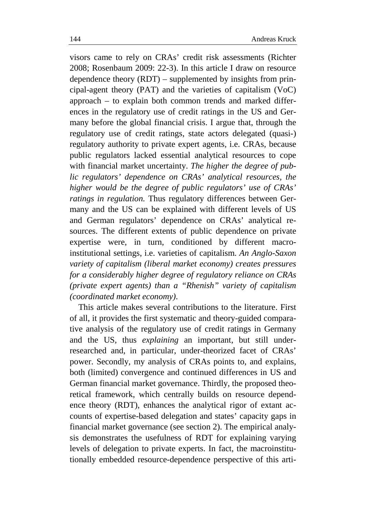visors came to rely on CRAs' credit risk assessments (Richter 2008; Rosenbaum 2009: 22-3). In this article I draw on resource dependence theory (RDT) – supplemented by insights from principal-agent theory (PAT) and the varieties of capitalism (VoC) approach – to explain both common trends and marked differences in the regulatory use of credit ratings in the US and Germany before the global financial crisis. I argue that, through the regulatory use of credit ratings, state actors delegated (quasi-) regulatory authority to private expert agents, i.e. CRAs, because public regulators lacked essential analytical resources to cope with financial market uncertainty. *The higher the degree of public regulators' dependence on CRAs' analytical resources, the higher would be the degree of public regulators' use of CRAs' ratings in regulation.* Thus regulatory differences between Germany and the US can be explained with different levels of US and German regulators' dependence on CRAs' analytical resources. The different extents of public dependence on private expertise were, in turn, conditioned by different macroinstitutional settings, i.e. varieties of capitalism. *An Anglo-Saxon variety of capitalism (liberal market economy) creates pressures for a considerably higher degree of regulatory reliance on CRAs (private expert agents) than a "Rhenish" variety of capitalism (coordinated market economy)*.

This article makes several contributions to the literature. First of all, it provides the first systematic and theory-guided comparative analysis of the regulatory use of credit ratings in Germany and the US, thus *explaining* an important, but still underresearched and, in particular, under-theorized facet of CRAs' power. Secondly, my analysis of CRAs points to, and explains, both (limited) convergence and continued differences in US and German financial market governance. Thirdly, the proposed theoretical framework, which centrally builds on resource dependence theory (RDT), enhances the analytical rigor of extant accounts of expertise-based delegation and states' capacity gaps in financial market governance (see section 2). The empirical analysis demonstrates the usefulness of RDT for explaining varying levels of delegation to private experts. In fact, the macroinstitutionally embedded resource-dependence perspective of this arti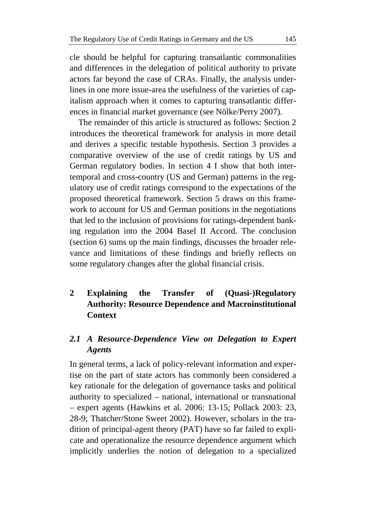cle should be helpful for capturing transatlantic commonalities and differences in the delegation of political authority to private actors far beyond the case of CRAs. Finally, the analysis underlines in one more issue-area the usefulness of the varieties of capitalism approach when it comes to capturing transatlantic differences in financial market governance (see Nölke/Perry 2007).

The remainder of this article is structured as follows: Section 2 introduces the theoretical framework for analysis in more detail and derives a specific testable hypothesis. Section 3 provides a comparative overview of the use of credit ratings by US and German regulatory bodies. In section 4 I show that both intertemporal and cross-country (US and German) patterns in the regulatory use of credit ratings correspond to the expectations of the proposed theoretical framework. Section 5 draws on this framework to account for US and German positions in the negotiations that led to the inclusion of provisions for ratings-dependent banking regulation into the 2004 Basel II Accord. The conclusion (section 6) sums up the main findings, discusses the broader relevance and limitations of these findings and briefly reflects on some regulatory changes after the global financial crisis.

## **2 Explaining the Transfer of (Quasi-)Regulatory Authority: Resource Dependence and Macroinstitutional Context**

### *2.1 A Resource-Dependence View on Delegation to Expert Agents*

In general terms, a lack of policy-relevant information and expertise on the part of state actors has commonly been considered a key rationale for the delegation of governance tasks and political authority to specialized – national, international or transnational – expert agents (Hawkins et al. 2006: 13-15; Pollack 2003: 23, 28-9; Thatcher/Stone Sweet 2002). However, scholars in the tradition of principal-agent theory (PAT) have so far failed to explicate and operationalize the resource dependence argument which implicitly underlies the notion of delegation to a specialized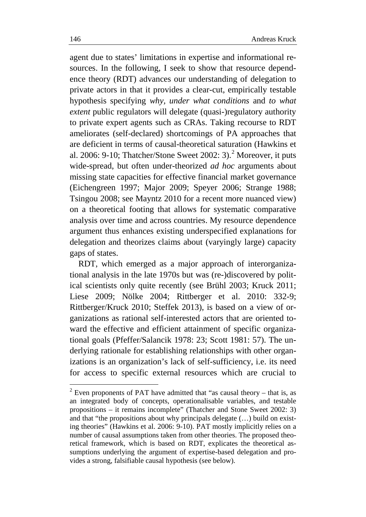agent due to states' limitations in expertise and informational resources. In the following, I seek to show that resource dependence theory (RDT) advances our understanding of delegation to private actors in that it provides a clear-cut, empirically testable hypothesis specifying *why, under what conditions* and *to what extent* public regulators will delegate (quasi-)regulatory authority to private expert agents such as CRAs. Taking recourse to RDT ameliorates (self-declared) shortcomings of PA approaches that are deficient in terms of causal-theoretical saturation (Hawkins et al. [2](#page-5-0)006: 9-10; Thatcher/Stone Sweet 2002: 3).<sup>2</sup> Moreover, it puts wide-spread, but often under-theorized *ad hoc* arguments about missing state capacities for effective financial market governance (Eichengreen 1997; Major 2009; Speyer 2006; Strange 1988; Tsingou 2008; see Mayntz 2010 for a recent more nuanced view) on a theoretical footing that allows for systematic comparative analysis over time and across countries. My resource dependence argument thus enhances existing underspecified explanations for delegation and theorizes claims about (varyingly large) capacity gaps of states.

RDT, which emerged as a major approach of interorganizational analysis in the late 1970s but was (re-)discovered by political scientists only quite recently (see Brühl 2003; Kruck 2011; Liese 2009; Nölke 2004; Rittberger et al. 2010: 332-9; Rittberger/Kruck 2010; Steffek 2013), is based on a view of organizations as rational self-interested actors that are oriented toward the effective and efficient attainment of specific organizational goals (Pfeffer/Salancik 1978: 23; Scott 1981: 57). The underlying rationale for establishing relationships with other organizations is an organization's lack of self-sufficiency, i.e. its need for access to specific external resources which are crucial to

<span id="page-5-0"></span> $2$  Even proponents of PAT have admitted that "as causal theory – that is, as an integrated body of concepts, operationalisable variables, and testable propositions – it remains incomplete" (Thatcher and Stone Sweet 2002: 3) and that "the propositions about why principals delegate (…) build on existing theories" (Hawkins et al. 2006: 9-10). PAT mostly implicitly relies on a number of causal assumptions taken from other theories. The proposed theoretical framework, which is based on RDT, explicates the theoretical assumptions underlying the argument of expertise-based delegation and provides a strong, falsifiable causal hypothesis (see below).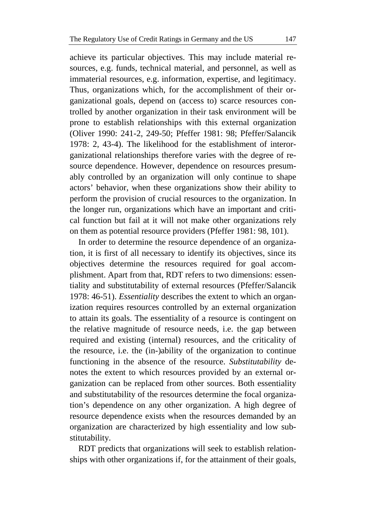achieve its particular objectives. This may include material resources, e.g. funds, technical material, and personnel, as well as immaterial resources, e.g. information, expertise, and legitimacy. Thus, organizations which, for the accomplishment of their organizational goals, depend on (access to) scarce resources controlled by another organization in their task environment will be prone to establish relationships with this external organization (Oliver 1990: 241-2, 249-50; Pfeffer 1981: 98; Pfeffer/Salancik 1978: 2, 43-4). The likelihood for the establishment of interorganizational relationships therefore varies with the degree of resource dependence. However, dependence on resources presumably controlled by an organization will only continue to shape actors' behavior, when these organizations show their ability to perform the provision of crucial resources to the organization. In the longer run, organizations which have an important and critical function but fail at it will not make other organizations rely on them as potential resource providers (Pfeffer 1981: 98, 101).

In order to determine the resource dependence of an organization, it is first of all necessary to identify its objectives, since its objectives determine the resources required for goal accomplishment. Apart from that, RDT refers to two dimensions: essentiality and substitutability of external resources (Pfeffer/Salancik 1978: 46-51). *Essentiality* describes the extent to which an organization requires resources controlled by an external organization to attain its goals. The essentiality of a resource is contingent on the relative magnitude of resource needs, i.e. the gap between required and existing (internal) resources, and the criticality of the resource, i.e. the (in-)ability of the organization to continue functioning in the absence of the resource. *Substitutability* denotes the extent to which resources provided by an external organization can be replaced from other sources. Both essentiality and substitutability of the resources determine the focal organization's dependence on any other organization. A high degree of resource dependence exists when the resources demanded by an organization are characterized by high essentiality and low substitutability.

RDT predicts that organizations will seek to establish relationships with other organizations if, for the attainment of their goals,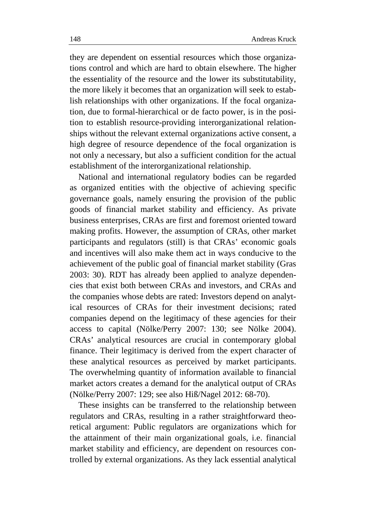they are dependent on essential resources which those organizations control and which are hard to obtain elsewhere. The higher the essentiality of the resource and the lower its substitutability, the more likely it becomes that an organization will seek to establish relationships with other organizations. If the focal organization, due to formal-hierarchical or de facto power, is in the position to establish resource-providing interorganizational relationships without the relevant external organizations active consent, a high degree of resource dependence of the focal organization is not only a necessary, but also a sufficient condition for the actual establishment of the interorganizational relationship.

National and international regulatory bodies can be regarded as organized entities with the objective of achieving specific governance goals, namely ensuring the provision of the public goods of financial market stability and efficiency. As private business enterprises, CRAs are first and foremost oriented toward making profits. However, the assumption of CRAs, other market participants and regulators (still) is that CRAs' economic goals and incentives will also make them act in ways conducive to the achievement of the public goal of financial market stability (Gras 2003: 30). RDT has already been applied to analyze dependencies that exist both between CRAs and investors, and CRAs and the companies whose debts are rated: Investors depend on analytical resources of CRAs for their investment decisions; rated companies depend on the legitimacy of these agencies for their access to capital (Nölke/Perry 2007: 130; see Nölke 2004). CRAs' analytical resources are crucial in contemporary global finance. Their legitimacy is derived from the expert character of these analytical resources as perceived by market participants. The overwhelming quantity of information available to financial market actors creates a demand for the analytical output of CRAs (Nölke/Perry 2007: 129; see also Hiß/Nagel 2012: 68-70).

These insights can be transferred to the relationship between regulators and CRAs, resulting in a rather straightforward theoretical argument: Public regulators are organizations which for the attainment of their main organizational goals, i.e. financial market stability and efficiency, are dependent on resources controlled by external organizations. As they lack essential analytical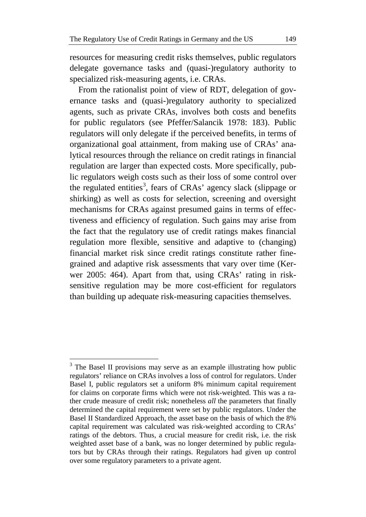resources for measuring credit risks themselves, public regulators delegate governance tasks and (quasi-)regulatory authority to specialized risk-measuring agents, i.e. CRAs.

From the rationalist point of view of RDT, delegation of governance tasks and (quasi-)regulatory authority to specialized agents, such as private CRAs, involves both costs and benefits for public regulators (see Pfeffer/Salancik 1978: 183). Public regulators will only delegate if the perceived benefits, in terms of organizational goal attainment, from making use of CRAs' analytical resources through the reliance on credit ratings in financial regulation are larger than expected costs. More specifically, public regulators weigh costs such as their loss of some control over the regulated entities<sup>[3](#page-8-0)</sup>, fears of CRAs' agency slack (slippage or shirking) as well as costs for selection, screening and oversight mechanisms for CRAs against presumed gains in terms of effectiveness and efficiency of regulation. Such gains may arise from the fact that the regulatory use of credit ratings makes financial regulation more flexible, sensitive and adaptive to (changing) financial market risk since credit ratings constitute rather finegrained and adaptive risk assessments that vary over time (Kerwer 2005: 464). Apart from that, using CRAs' rating in risksensitive regulation may be more cost-efficient for regulators than building up adequate risk-measuring capacities themselves.

<span id="page-8-0"></span> $3$  The Basel II provisions may serve as an example illustrating how public regulators' reliance on CRAs involves a loss of control for regulators. Under Basel I, public regulators set a uniform 8% minimum capital requirement for claims on corporate firms which were not risk-weighted. This was a rather crude measure of credit risk; nonetheless *all* the parameters that finally determined the capital requirement were set by public regulators. Under the Basel II Standardized Approach, the asset base on the basis of which the 8% capital requirement was calculated was risk-weighted according to CRAs' ratings of the debtors. Thus, a crucial measure for credit risk, i.e. the risk weighted asset base of a bank, was no longer determined by public regulators but by CRAs through their ratings. Regulators had given up control over some regulatory parameters to a private agent.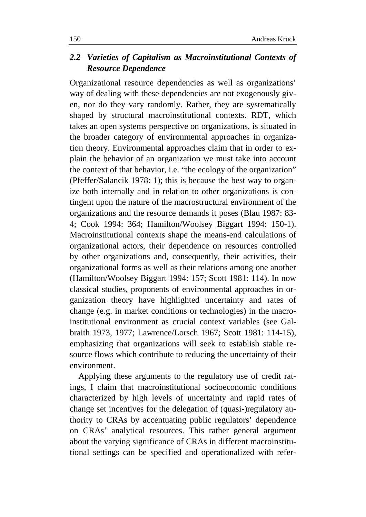### *2.2 Varieties of Capitalism as Macroinstitutional Contexts of Resource Dependence*

Organizational resource dependencies as well as organizations' way of dealing with these dependencies are not exogenously given, nor do they vary randomly. Rather, they are systematically shaped by structural macroinstitutional contexts. RDT, which takes an open systems perspective on organizations, is situated in the broader category of environmental approaches in organization theory. Environmental approaches claim that in order to explain the behavior of an organization we must take into account the context of that behavior, i.e. "the ecology of the organization" (Pfeffer/Salancik 1978: 1); this is because the best way to organize both internally and in relation to other organizations is contingent upon the nature of the macrostructural environment of the organizations and the resource demands it poses (Blau 1987: 83- 4; Cook 1994: 364; Hamilton/Woolsey Biggart 1994: 150-1). Macroinstitutional contexts shape the means-end calculations of organizational actors, their dependence on resources controlled by other organizations and, consequently, their activities, their organizational forms as well as their relations among one another (Hamilton/Woolsey Biggart 1994: 157; Scott 1981: 114). In now classical studies, proponents of environmental approaches in organization theory have highlighted uncertainty and rates of change (e.g. in market conditions or technologies) in the macroinstitutional environment as crucial context variables (see Galbraith 1973, 1977; Lawrence/Lorsch 1967; Scott 1981: 114-15), emphasizing that organizations will seek to establish stable resource flows which contribute to reducing the uncertainty of their environment.

Applying these arguments to the regulatory use of credit ratings, I claim that macroinstitutional socioeconomic conditions characterized by high levels of uncertainty and rapid rates of change set incentives for the delegation of (quasi-)regulatory authority to CRAs by accentuating public regulators' dependence on CRAs' analytical resources. This rather general argument about the varying significance of CRAs in different macroinstitutional settings can be specified and operationalized with refer-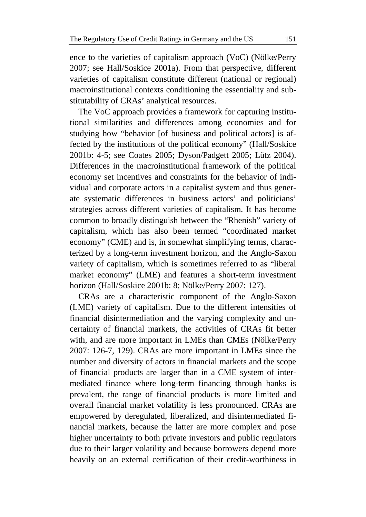ence to the varieties of capitalism approach (VoC) (Nölke/Perry 2007; see Hall/Soskice 2001a). From that perspective, different varieties of capitalism constitute different (national or regional) macroinstitutional contexts conditioning the essentiality and substitutability of CRAs' analytical resources.

The VoC approach provides a framework for capturing institutional similarities and differences among economies and for studying how "behavior [of business and political actors] is affected by the institutions of the political economy" (Hall/Soskice 2001b: 4-5; see Coates 2005; Dyson/Padgett 2005; Lütz 2004). Differences in the macroinstitutional framework of the political economy set incentives and constraints for the behavior of individual and corporate actors in a capitalist system and thus generate systematic differences in business actors' and politicians' strategies across different varieties of capitalism. It has become common to broadly distinguish between the "Rhenish" variety of capitalism, which has also been termed "coordinated market economy" (CME) and is, in somewhat simplifying terms, characterized by a long-term investment horizon, and the Anglo-Saxon variety of capitalism, which is sometimes referred to as "liberal market economy" (LME) and features a short-term investment horizon (Hall/Soskice 2001b: 8; Nölke/Perry 2007: 127).

CRAs are a characteristic component of the Anglo-Saxon (LME) variety of capitalism. Due to the different intensities of financial disintermediation and the varying complexity and uncertainty of financial markets, the activities of CRAs fit better with, and are more important in LMEs than CMEs (Nölke/Perry 2007: 126-7, 129). CRAs are more important in LMEs since the number and diversity of actors in financial markets and the scope of financial products are larger than in a CME system of intermediated finance where long-term financing through banks is prevalent, the range of financial products is more limited and overall financial market volatility is less pronounced. CRAs are empowered by deregulated, liberalized, and disintermediated financial markets, because the latter are more complex and pose higher uncertainty to both private investors and public regulators due to their larger volatility and because borrowers depend more heavily on an external certification of their credit-worthiness in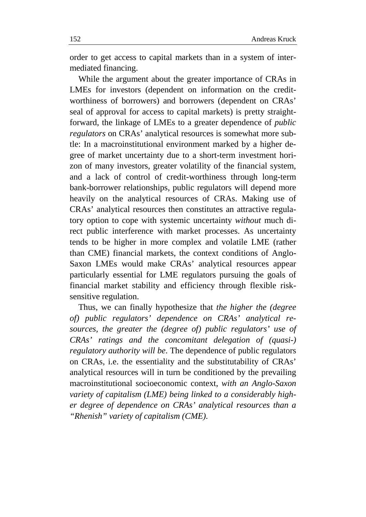order to get access to capital markets than in a system of intermediated financing.

While the argument about the greater importance of CRAs in LMEs for investors (dependent on information on the creditworthiness of borrowers) and borrowers (dependent on CRAs' seal of approval for access to capital markets) is pretty straightforward, the linkage of LMEs to a greater dependence of *public regulators* on CRAs' analytical resources is somewhat more subtle: In a macroinstitutional environment marked by a higher degree of market uncertainty due to a short-term investment horizon of many investors, greater volatility of the financial system, and a lack of control of credit-worthiness through long-term bank-borrower relationships, public regulators will depend more heavily on the analytical resources of CRAs. Making use of CRAs' analytical resources then constitutes an attractive regulatory option to cope with systemic uncertainty *without* much direct public interference with market processes. As uncertainty tends to be higher in more complex and volatile LME (rather than CME) financial markets, the context conditions of Anglo-Saxon LMEs would make CRAs' analytical resources appear particularly essential for LME regulators pursuing the goals of financial market stability and efficiency through flexible risksensitive regulation.

Thus, we can finally hypothesize that *the higher the (degree of) public regulators' dependence on CRAs' analytical resources, the greater the (degree of) public regulators' use of CRAs' ratings and the concomitant delegation of (quasi-) regulatory authority will be*. The dependence of public regulators on CRAs, i.e. the essentiality and the substitutability of CRAs' analytical resources will in turn be conditioned by the prevailing macroinstitutional socioeconomic context, *with an Anglo-Saxon variety of capitalism (LME) being linked to a considerably higher degree of dependence on CRAs' analytical resources than a "Rhenish" variety of capitalism (CME).*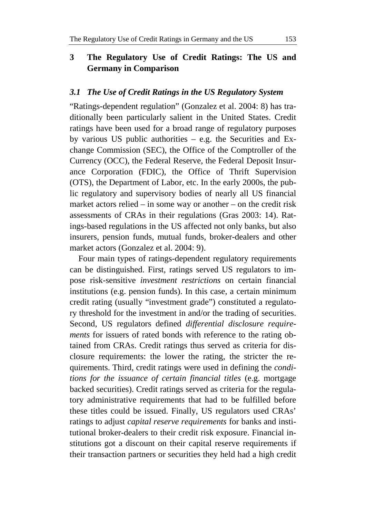### **3 The Regulatory Use of Credit Ratings: The US and Germany in Comparison**

### *3.1 The Use of Credit Ratings in the US Regulatory System*

"Ratings-dependent regulation" (Gonzalez et al. 2004: 8) has traditionally been particularly salient in the United States. Credit ratings have been used for a broad range of regulatory purposes by various US public authorities  $-$  e.g. the Securities and Exchange Commission (SEC), the Office of the Comptroller of the Currency (OCC), the Federal Reserve, the Federal Deposit Insurance Corporation (FDIC), the Office of Thrift Supervision (OTS), the Department of Labor, etc. In the early 2000s, the public regulatory and supervisory bodies of nearly all US financial market actors relied – in some way or another – on the credit risk assessments of CRAs in their regulations (Gras 2003: 14). Ratings-based regulations in the US affected not only banks, but also insurers, pension funds, mutual funds, broker-dealers and other market actors (Gonzalez et al. 2004: 9).

Four main types of ratings-dependent regulatory requirements can be distinguished. First, ratings served US regulators to impose risk-sensitive *investment restrictions* on certain financial institutions (e.g. pension funds). In this case, a certain minimum credit rating (usually "investment grade") constituted a regulatory threshold for the investment in and/or the trading of securities. Second, US regulators defined *differential disclosure requirements* for issuers of rated bonds with reference to the rating obtained from CRAs. Credit ratings thus served as criteria for disclosure requirements: the lower the rating, the stricter the requirements. Third, credit ratings were used in defining the *conditions for the issuance of certain financial titles* (e.g. mortgage backed securities). Credit ratings served as criteria for the regulatory administrative requirements that had to be fulfilled before these titles could be issued. Finally, US regulators used CRAs' ratings to adjust *capital reserve requirements* for banks and institutional broker-dealers to their credit risk exposure. Financial institutions got a discount on their capital reserve requirements if their transaction partners or securities they held had a high credit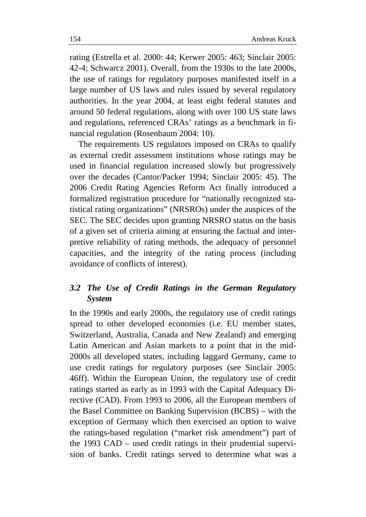rating (Estrella et al. 2000: 44; Kerwer 2005: 463; Sinclair 2005: 42-4; Schwarcz 2001). Overall, from the 1930s to the late 2000s, the use of ratings for regulatory purposes manifested itself in a large number of US laws and rules issued by several regulatory authorities. In the year 2004, at least eight federal statutes and around 50 federal regulations, along with over 100 US state laws and regulations, referenced CRAs' ratings as a benchmark in financial regulation (Rosenbaum 2004: 10).

The requirements US regulators imposed on CRAs to qualify as external credit assessment institutions whose ratings may be used in financial regulation increased slowly but progressively over the decades (Cantor/Packer 1994; Sinclair 2005: 45). The 2006 Credit Rating Agencies Reform Act finally introduced a formalized registration procedure for "nationally recognized statistical rating organizations" (NRSROs) under the auspices of the SEC. The SEC decides upon granting NRSRO status on the basis of a given set of criteria aiming at ensuring the factual and interpretive reliability of rating methods, the adequacy of personnel capacities, and the integrity of the rating process (including avoidance of conflicts of interest).

### *3.2 The Use of Credit Ratings in the German Regulatory System*

In the 1990s and early 2000s, the regulatory use of credit ratings spread to other developed economies (i.e. EU member states, Switzerland, Australia, Canada and New Zealand) and emerging Latin American and Asian markets to a point that in the mid-2000s all developed states, including laggard Germany, came to use credit ratings for regulatory purposes (see Sinclair 2005: 46ff). Within the European Union, the regulatory use of credit ratings started as early as in 1993 with the Capital Adequacy Directive (CAD). From 1993 to 2006, all the European members of the Basel Committee on Banking Supervision (BCBS) – with the exception of Germany which then exercised an option to waive the ratings-based regulation ("market risk amendment") part of the 1993 CAD – used credit ratings in their prudential supervision of banks. Credit ratings served to determine what was a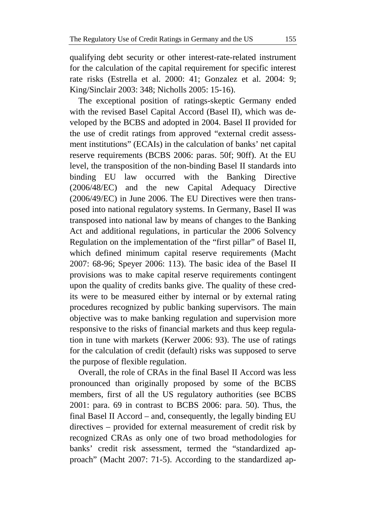qualifying debt security or other interest-rate-related instrument for the calculation of the capital requirement for specific interest rate risks (Estrella et al. 2000: 41; Gonzalez et al. 2004: 9; King/Sinclair 2003: 348; Nicholls 2005: 15-16).

The exceptional position of ratings-skeptic Germany ended with the revised Basel Capital Accord (Basel II), which was developed by the BCBS and adopted in 2004. Basel II provided for the use of credit ratings from approved "external credit assessment institutions" (ECAIs) in the calculation of banks' net capital reserve requirements (BCBS 2006: paras. 50f; 90ff). At the EU level, the transposition of the non-binding Basel II standards into binding EU law occurred with the Banking Directive (2006/48/EC) and the new Capital Adequacy Directive (2006/49/EC) in June 2006. The EU Directives were then transposed into national regulatory systems. In Germany, Basel II was transposed into national law by means of changes to the Banking Act and additional regulations, in particular the 2006 Solvency Regulation on the implementation of the "first pillar" of Basel II, which defined minimum capital reserve requirements (Macht 2007: 68-96; Speyer 2006: 113). The basic idea of the Basel II provisions was to make capital reserve requirements contingent upon the quality of credits banks give. The quality of these credits were to be measured either by internal or by external rating procedures recognized by public banking supervisors. The main objective was to make banking regulation and supervision more responsive to the risks of financial markets and thus keep regulation in tune with markets (Kerwer 2006: 93). The use of ratings for the calculation of credit (default) risks was supposed to serve the purpose of flexible regulation.

Overall, the role of CRAs in the final Basel II Accord was less pronounced than originally proposed by some of the BCBS members, first of all the US regulatory authorities (see BCBS 2001: para. 69 in contrast to BCBS 2006: para. 50). Thus, the final Basel II Accord – and, consequently, the legally binding EU directives – provided for external measurement of credit risk by recognized CRAs as only one of two broad methodologies for banks' credit risk assessment, termed the "standardized approach" (Macht 2007: 71-5). According to the standardized ap-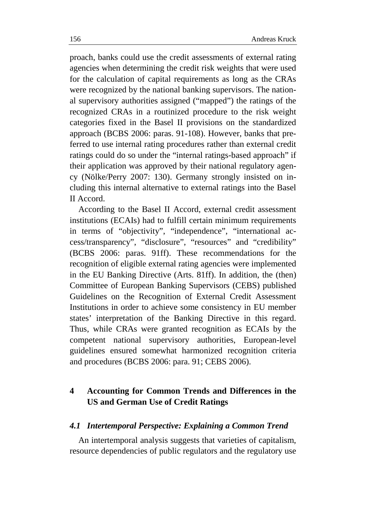proach, banks could use the credit assessments of external rating agencies when determining the credit risk weights that were used for the calculation of capital requirements as long as the CRAs were recognized by the national banking supervisors. The national supervisory authorities assigned ("mapped") the ratings of the recognized CRAs in a routinized procedure to the risk weight categories fixed in the Basel II provisions on the standardized approach (BCBS 2006: paras. 91-108). However, banks that preferred to use internal rating procedures rather than external credit ratings could do so under the "internal ratings-based approach" if their application was approved by their national regulatory agency (Nölke/Perry 2007: 130). Germany strongly insisted on including this internal alternative to external ratings into the Basel II Accord.

According to the Basel II Accord, external credit assessment institutions (ECAIs) had to fulfill certain minimum requirements in terms of "objectivity", "independence", "international access/transparency", "disclosure", "resources" and "credibility" (BCBS 2006: paras. 91ff). These recommendations for the recognition of eligible external rating agencies were implemented in the EU Banking Directive (Arts. 81ff). In addition, the (then) Committee of European Banking Supervisors (CEBS) published Guidelines on the Recognition of External Credit Assessment Institutions in order to achieve some consistency in EU member states' interpretation of the Banking Directive in this regard. Thus, while CRAs were granted recognition as ECAIs by the competent national supervisory authorities, European-level guidelines ensured somewhat harmonized recognition criteria and procedures (BCBS 2006: para. 91; CEBS 2006).

### **4 Accounting for Common Trends and Differences in the US and German Use of Credit Ratings**

### *4.1 Intertemporal Perspective: Explaining a Common Trend*

An intertemporal analysis suggests that varieties of capitalism, resource dependencies of public regulators and the regulatory use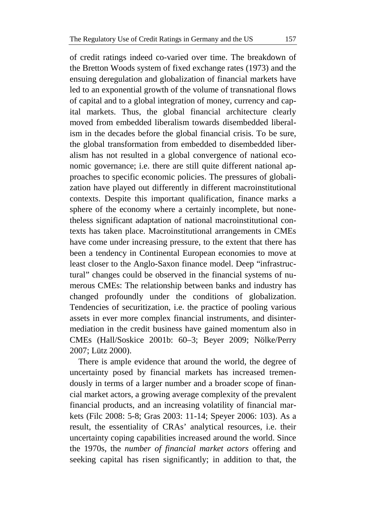of credit ratings indeed co-varied over time. The breakdown of the Bretton Woods system of fixed exchange rates (1973) and the ensuing deregulation and globalization of financial markets have led to an exponential growth of the volume of transnational flows of capital and to a global integration of money, currency and capital markets. Thus, the global financial architecture clearly moved from embedded liberalism towards disembedded liberalism in the decades before the global financial crisis. To be sure, the global transformation from embedded to disembedded liberalism has not resulted in a global convergence of national economic governance; i.e. there are still quite different national approaches to specific economic policies. The pressures of globalization have played out differently in different macroinstitutional contexts. Despite this important qualification, finance marks a sphere of the economy where a certainly incomplete, but nonetheless significant adaptation of national macroinstitutional contexts has taken place. Macroinstitutional arrangements in CMEs have come under increasing pressure, to the extent that there has been a tendency in Continental European economies to move at least closer to the Anglo-Saxon finance model. Deep "infrastructural" changes could be observed in the financial systems of numerous CMEs: The relationship between banks and industry has changed profoundly under the conditions of globalization. Tendencies of securitization, i.e. the practice of pooling various assets in ever more complex financial instruments, and disintermediation in the credit business have gained momentum also in CMEs (Hall/Soskice 2001b: 60–3; Beyer 2009; Nölke/Perry 2007; Lütz 2000).

There is ample evidence that around the world, the degree of uncertainty posed by financial markets has increased tremendously in terms of a larger number and a broader scope of financial market actors, a growing average complexity of the prevalent financial products, and an increasing volatility of financial markets (Filc 2008: 5-8; Gras 2003: 11-14; Speyer 2006: 103). As a result, the essentiality of CRAs' analytical resources, i.e. their uncertainty coping capabilities increased around the world. Since the 1970s, the *number of financial market actors* offering and seeking capital has risen significantly; in addition to that, the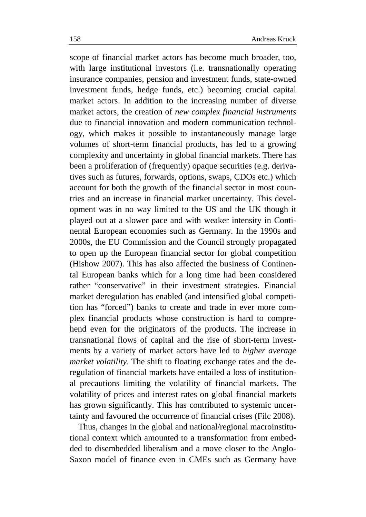scope of financial market actors has become much broader, too, with large institutional investors (i.e. transnationally operating insurance companies, pension and investment funds, state-owned investment funds, hedge funds, etc.) becoming crucial capital market actors. In addition to the increasing number of diverse market actors, the creation of *new complex financial instruments* due to financial innovation and modern communication technology, which makes it possible to instantaneously manage large volumes of short-term financial products, has led to a growing complexity and uncertainty in global financial markets. There has been a proliferation of (frequently) opaque securities (e.g. derivatives such as futures, forwards, options, swaps, CDOs etc.) which account for both the growth of the financial sector in most countries and an increase in financial market uncertainty. This development was in no way limited to the US and the UK though it played out at a slower pace and with weaker intensity in Continental European economies such as Germany. In the 1990s and 2000s, the EU Commission and the Council strongly propagated to open up the European financial sector for global competition (Hishow 2007). This has also affected the business of Continental European banks which for a long time had been considered rather "conservative" in their investment strategies. Financial market deregulation has enabled (and intensified global competition has "forced") banks to create and trade in ever more complex financial products whose construction is hard to comprehend even for the originators of the products. The increase in transnational flows of capital and the rise of short-term investments by a variety of market actors have led to *higher average market volatility*. The shift to floating exchange rates and the deregulation of financial markets have entailed a loss of institutional precautions limiting the volatility of financial markets. The volatility of prices and interest rates on global financial markets has grown significantly. This has contributed to systemic uncertainty and favoured the occurrence of financial crises (Filc 2008).

Thus, changes in the global and national/regional macroinstitutional context which amounted to a transformation from embedded to disembedded liberalism and a move closer to the Anglo-Saxon model of finance even in CMEs such as Germany have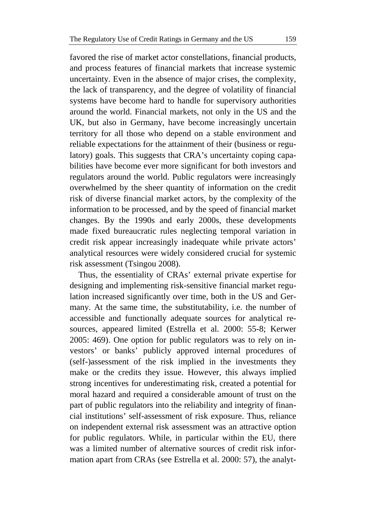favored the rise of market actor constellations, financial products, and process features of financial markets that increase systemic uncertainty. Even in the absence of major crises, the complexity, the lack of transparency, and the degree of volatility of financial systems have become hard to handle for supervisory authorities around the world. Financial markets, not only in the US and the UK, but also in Germany, have become increasingly uncertain territory for all those who depend on a stable environment and reliable expectations for the attainment of their (business or regulatory) goals. This suggests that CRA's uncertainty coping capabilities have become ever more significant for both investors and regulators around the world. Public regulators were increasingly overwhelmed by the sheer quantity of information on the credit risk of diverse financial market actors, by the complexity of the information to be processed, and by the speed of financial market changes. By the 1990s and early 2000s, these developments made fixed bureaucratic rules neglecting temporal variation in credit risk appear increasingly inadequate while private actors' analytical resources were widely considered crucial for systemic risk assessment (Tsingou 2008).

Thus, the essentiality of CRAs' external private expertise for designing and implementing risk-sensitive financial market regulation increased significantly over time, both in the US and Germany. At the same time, the substitutability, i.e. the number of accessible and functionally adequate sources for analytical resources, appeared limited (Estrella et al. 2000: 55-8; Kerwer 2005: 469). One option for public regulators was to rely on investors' or banks' publicly approved internal procedures of (self-)assessment of the risk implied in the investments they make or the credits they issue. However, this always implied strong incentives for underestimating risk, created a potential for moral hazard and required a considerable amount of trust on the part of public regulators into the reliability and integrity of financial institutions' self-assessment of risk exposure. Thus, reliance on independent external risk assessment was an attractive option for public regulators. While, in particular within the EU, there was a limited number of alternative sources of credit risk information apart from CRAs (see Estrella et al. 2000: 57), the analyt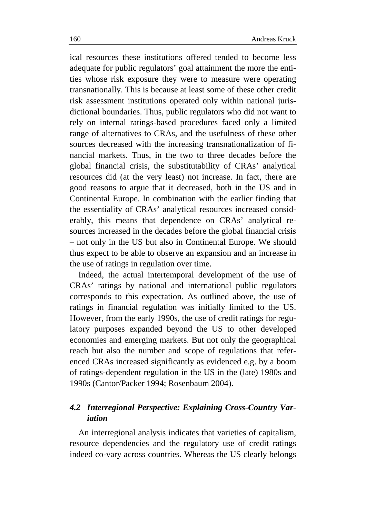ical resources these institutions offered tended to become less adequate for public regulators' goal attainment the more the entities whose risk exposure they were to measure were operating transnationally. This is because at least some of these other credit risk assessment institutions operated only within national jurisdictional boundaries. Thus, public regulators who did not want to rely on internal ratings-based procedures faced only a limited range of alternatives to CRAs, and the usefulness of these other sources decreased with the increasing transnationalization of financial markets. Thus, in the two to three decades before the global financial crisis, the substitutability of CRAs' analytical resources did (at the very least) not increase. In fact, there are good reasons to argue that it decreased, both in the US and in Continental Europe. In combination with the earlier finding that the essentiality of CRAs' analytical resources increased considerably, this means that dependence on CRAs' analytical resources increased in the decades before the global financial crisis – not only in the US but also in Continental Europe. We should thus expect to be able to observe an expansion and an increase in the use of ratings in regulation over time.

Indeed, the actual intertemporal development of the use of CRAs' ratings by national and international public regulators corresponds to this expectation. As outlined above, the use of ratings in financial regulation was initially limited to the US. However, from the early 1990s, the use of credit ratings for regulatory purposes expanded beyond the US to other developed economies and emerging markets. But not only the geographical reach but also the number and scope of regulations that referenced CRAs increased significantly as evidenced e.g. by a boom of ratings-dependent regulation in the US in the (late) 1980s and 1990s (Cantor/Packer 1994; Rosenbaum 2004).

### *4.2 Interregional Perspective: Explaining Cross-Country Variation*

An interregional analysis indicates that varieties of capitalism, resource dependencies and the regulatory use of credit ratings indeed co-vary across countries. Whereas the US clearly belongs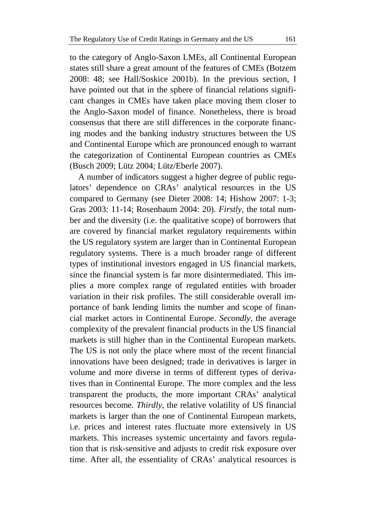to the category of Anglo-Saxon LMEs, all Continental European states still share a great amount of the features of CMEs (Botzem 2008: 48; see Hall/Soskice 2001b). In the previous section, I have pointed out that in the sphere of financial relations significant changes in CMEs have taken place moving them closer to the Anglo-Saxon model of finance. Nonetheless, there is broad consensus that there are still differences in the corporate financing modes and the banking industry structures between the US and Continental Europe which are pronounced enough to warrant the categorization of Continental European countries as CMEs (Busch 2009; Lütz 2004; Lütz/Eberle 2007).

A number of indicators suggest a higher degree of public regulators' dependence on CRAs' analytical resources in the US compared to Germany (see Dieter 2008: 14; Hishow 2007: 1-3; Gras 2003: 11-14; Rosenbaum 2004: 20). *Firstly,* the total number and the diversity (i.e. the qualitative scope) of borrowers that are covered by financial market regulatory requirements within the US regulatory system are larger than in Continental European regulatory systems. There is a much broader range of different types of institutional investors engaged in US financial markets, since the financial system is far more disintermediated. This implies a more complex range of regulated entities with broader variation in their risk profiles. The still considerable overall importance of bank lending limits the number and scope of financial market actors in Continental Europe. *Secondly,* the average complexity of the prevalent financial products in the US financial markets is still higher than in the Continental European markets. The US is not only the place where most of the recent financial innovations have been designed; trade in derivatives is larger in volume and more diverse in terms of different types of derivatives than in Continental Europe. The more complex and the less transparent the products, the more important CRAs' analytical resources become. *Thirdly*, the relative volatility of US financial markets is larger than the one of Continental European markets, i.e. prices and interest rates fluctuate more extensively in US markets. This increases systemic uncertainty and favors regulation that is risk-sensitive and adjusts to credit risk exposure over time. After all, the essentiality of CRAs' analytical resources is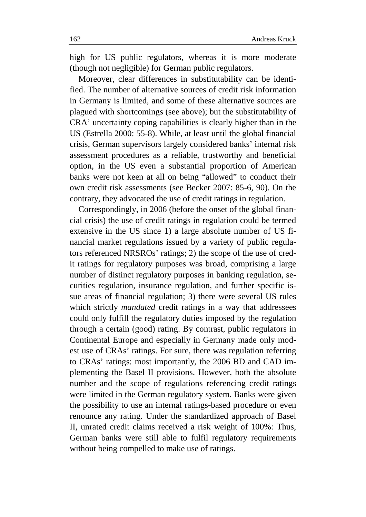high for US public regulators, whereas it is more moderate (though not negligible) for German public regulators.

Moreover, clear differences in substitutability can be identified. The number of alternative sources of credit risk information in Germany is limited, and some of these alternative sources are plagued with shortcomings (see above); but the substitutability of CRA' uncertainty coping capabilities is clearly higher than in the US (Estrella 2000: 55-8). While, at least until the global financial crisis, German supervisors largely considered banks' internal risk assessment procedures as a reliable, trustworthy and beneficial option, in the US even a substantial proportion of American banks were not keen at all on being "allowed" to conduct their own credit risk assessments (see Becker 2007: 85-6, 90). On the contrary, they advocated the use of credit ratings in regulation.

Correspondingly, in 2006 (before the onset of the global financial crisis) the use of credit ratings in regulation could be termed extensive in the US since 1) a large absolute number of US financial market regulations issued by a variety of public regulators referenced NRSROs' ratings; 2) the scope of the use of credit ratings for regulatory purposes was broad, comprising a large number of distinct regulatory purposes in banking regulation, securities regulation, insurance regulation, and further specific issue areas of financial regulation; 3) there were several US rules which strictly *mandated* credit ratings in a way that addressees could only fulfill the regulatory duties imposed by the regulation through a certain (good) rating. By contrast, public regulators in Continental Europe and especially in Germany made only modest use of CRAs' ratings. For sure, there was regulation referring to CRAs' ratings: most importantly, the 2006 BD and CAD implementing the Basel II provisions. However, both the absolute number and the scope of regulations referencing credit ratings were limited in the German regulatory system. Banks were given the possibility to use an internal ratings-based procedure or even renounce any rating. Under the standardized approach of Basel II, unrated credit claims received a risk weight of 100%: Thus, German banks were still able to fulfil regulatory requirements without being compelled to make use of ratings.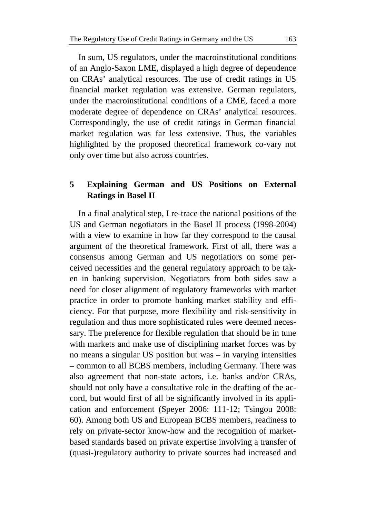In sum, US regulators, under the macroinstitutional conditions of an Anglo-Saxon LME, displayed a high degree of dependence on CRAs' analytical resources. The use of credit ratings in US financial market regulation was extensive. German regulators, under the macroinstitutional conditions of a CME, faced a more moderate degree of dependence on CRAs' analytical resources. Correspondingly, the use of credit ratings in German financial market regulation was far less extensive. Thus, the variables highlighted by the proposed theoretical framework co-vary not only over time but also across countries.

### **5 Explaining German and US Positions on External Ratings in Basel II**

In a final analytical step, I re-trace the national positions of the US and German negotiators in the Basel II process (1998-2004) with a view to examine in how far they correspond to the causal argument of the theoretical framework. First of all, there was a consensus among German and US negotiatiors on some perceived necessities and the general regulatory approach to be taken in banking supervision. Negotiators from both sides saw a need for closer alignment of regulatory frameworks with market practice in order to promote banking market stability and efficiency. For that purpose, more flexibility and risk-sensitivity in regulation and thus more sophisticated rules were deemed necessary. The preference for flexible regulation that should be in tune with markets and make use of disciplining market forces was by no means a singular US position but was – in varying intensities – common to all BCBS members, including Germany. There was also agreement that non-state actors, i.e. banks and/or CRAs, should not only have a consultative role in the drafting of the accord, but would first of all be significantly involved in its application and enforcement (Speyer 2006: 111-12; Tsingou 2008: 60). Among both US and European BCBS members, readiness to rely on private-sector know-how and the recognition of marketbased standards based on private expertise involving a transfer of (quasi-)regulatory authority to private sources had increased and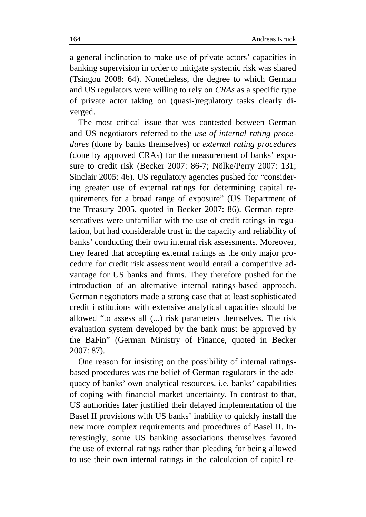a general inclination to make use of private actors' capacities in banking supervision in order to mitigate systemic risk was shared (Tsingou 2008: 64). Nonetheless, the degree to which German and US regulators were willing to rely on *CRAs* as a specific type of private actor taking on (quasi-)regulatory tasks clearly diverged.

The most critical issue that was contested between German and US negotiators referred to the *use of internal rating procedures* (done by banks themselves) or *external rating procedures* (done by approved CRAs) for the measurement of banks' exposure to credit risk (Becker 2007: 86-7; Nölke/Perry 2007: 131; Sinclair 2005: 46). US regulatory agencies pushed for "considering greater use of external ratings for determining capital requirements for a broad range of exposure" (US Department of the Treasury 2005, quoted in Becker 2007: 86). German representatives were unfamiliar with the use of credit ratings in regulation, but had considerable trust in the capacity and reliability of banks' conducting their own internal risk assessments. Moreover, they feared that accepting external ratings as the only major procedure for credit risk assessment would entail a competitive advantage for US banks and firms. They therefore pushed for the introduction of an alternative internal ratings-based approach. German negotiators made a strong case that at least sophisticated credit institutions with extensive analytical capacities should be allowed "to assess all (...) risk parameters themselves. The risk evaluation system developed by the bank must be approved by the BaFin" (German Ministry of Finance, quoted in Becker 2007: 87).

One reason for insisting on the possibility of internal ratingsbased procedures was the belief of German regulators in the adequacy of banks' own analytical resources, i.e. banks' capabilities of coping with financial market uncertainty. In contrast to that, US authorities later justified their delayed implementation of the Basel II provisions with US banks' inability to quickly install the new more complex requirements and procedures of Basel II. Interestingly, some US banking associations themselves favored the use of external ratings rather than pleading for being allowed to use their own internal ratings in the calculation of capital re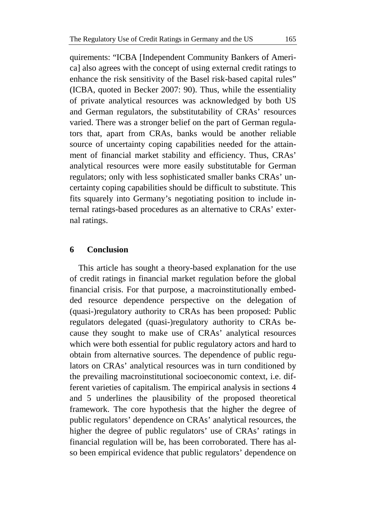quirements: "ICBA [Independent Community Bankers of America] also agrees with the concept of using external credit ratings to enhance the risk sensitivity of the Basel risk-based capital rules" (ICBA, quoted in Becker 2007: 90). Thus, while the essentiality of private analytical resources was acknowledged by both US and German regulators, the substitutability of CRAs' resources varied. There was a stronger belief on the part of German regulators that, apart from CRAs, banks would be another reliable source of uncertainty coping capabilities needed for the attainment of financial market stability and efficiency. Thus, CRAs' analytical resources were more easily substitutable for German regulators; only with less sophisticated smaller banks CRAs' uncertainty coping capabilities should be difficult to substitute. This fits squarely into Germany's negotiating position to include internal ratings-based procedures as an alternative to CRAs' external ratings.

### **6 Conclusion**

This article has sought a theory-based explanation for the use of credit ratings in financial market regulation before the global financial crisis. For that purpose, a macroinstitutionally embedded resource dependence perspective on the delegation of (quasi-)regulatory authority to CRAs has been proposed: Public regulators delegated (quasi-)regulatory authority to CRAs because they sought to make use of CRAs' analytical resources which were both essential for public regulatory actors and hard to obtain from alternative sources. The dependence of public regulators on CRAs' analytical resources was in turn conditioned by the prevailing macroinstitutional socioeconomic context, i.e. different varieties of capitalism. The empirical analysis in sections 4 and 5 underlines the plausibility of the proposed theoretical framework. The core hypothesis that the higher the degree of public regulators' dependence on CRAs' analytical resources, the higher the degree of public regulators' use of CRAs' ratings in financial regulation will be, has been corroborated. There has also been empirical evidence that public regulators' dependence on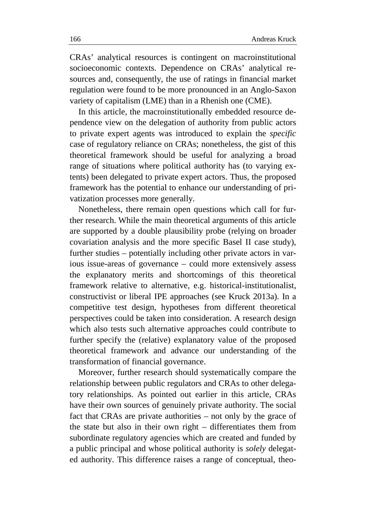CRAs' analytical resources is contingent on macroinstitutional socioeconomic contexts. Dependence on CRAs' analytical resources and, consequently, the use of ratings in financial market regulation were found to be more pronounced in an Anglo-Saxon variety of capitalism (LME) than in a Rhenish one (CME).

In this article, the macroinstitutionally embedded resource dependence view on the delegation of authority from public actors to private expert agents was introduced to explain the *specific*  case of regulatory reliance on CRAs; nonetheless, the gist of this theoretical framework should be useful for analyzing a broad range of situations where political authority has (to varying extents) been delegated to private expert actors. Thus, the proposed framework has the potential to enhance our understanding of privatization processes more generally.

Nonetheless, there remain open questions which call for further research. While the main theoretical arguments of this article are supported by a double plausibility probe (relying on broader covariation analysis and the more specific Basel II case study), further studies – potentially including other private actors in various issue-areas of governance – could more extensively assess the explanatory merits and shortcomings of this theoretical framework relative to alternative, e.g. historical-institutionalist, constructivist or liberal IPE approaches (see Kruck 2013a). In a competitive test design, hypotheses from different theoretical perspectives could be taken into consideration. A research design which also tests such alternative approaches could contribute to further specify the (relative) explanatory value of the proposed theoretical framework and advance our understanding of the transformation of financial governance.

Moreover, further research should systematically compare the relationship between public regulators and CRAs to other delegatory relationships. As pointed out earlier in this article, CRAs have their own sources of genuinely private authority. The social fact that CRAs are private authorities – not only by the grace of the state but also in their own right – differentiates them from subordinate regulatory agencies which are created and funded by a public principal and whose political authority is *solely* delegated authority. This difference raises a range of conceptual, theo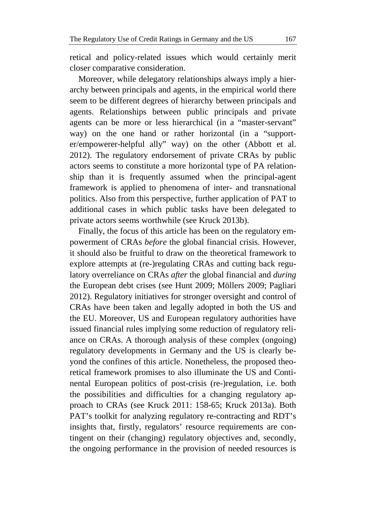retical and policy-related issues which would certainly merit closer comparative consideration.

Moreover, while delegatory relationships always imply a hierarchy between principals and agents, in the empirical world there seem to be different degrees of hierarchy between principals and agents. Relationships between public principals and private agents can be more or less hierarchical (in a "master-servant" way) on the one hand or rather horizontal (in a "supporter/empowerer-helpful ally" way) on the other (Abbott et al. 2012). The regulatory endorsement of private CRAs by public actors seems to constitute a more horizontal type of PA relationship than it is frequently assumed when the principal-agent framework is applied to phenomena of inter- and transnational politics. Also from this perspective, further application of PAT to additional cases in which public tasks have been delegated to private actors seems worthwhile (see Kruck 2013b).

Finally, the focus of this article has been on the regulatory empowerment of CRAs *before* the global financial crisis. However, it should also be fruitful to draw on the theoretical framework to explore attempts at (re-)regulating CRAs and cutting back regulatory overreliance on CRAs *after* the global financial and *during*  the European debt crises (see Hunt 2009; Möllers 2009; Pagliari 2012). Regulatory initiatives for stronger oversight and control of CRAs have been taken and legally adopted in both the US and the EU. Moreover, US and European regulatory authorities have issued financial rules implying some reduction of regulatory reliance on CRAs. A thorough analysis of these complex (ongoing) regulatory developments in Germany and the US is clearly beyond the confines of this article. Nonetheless, the proposed theoretical framework promises to also illuminate the US and Continental European politics of post-crisis (re-)regulation, i.e. both the possibilities and difficulties for a changing regulatory approach to CRAs (see Kruck 2011: 158-65; Kruck 2013a). Both PAT's toolkit for analyzing regulatory re-contracting and RDT's insights that, firstly, regulators' resource requirements are contingent on their (changing) regulatory objectives and, secondly, the ongoing performance in the provision of needed resources is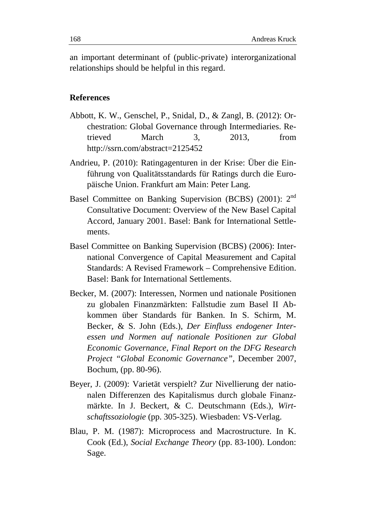an important determinant of (public-private) interorganizational relationships should be helpful in this regard.

### **References**

- Abbott, K. W., Genschel, P., Snidal, D., & Zangl, B. (2012): Orchestration: Global Governance through Intermediaries. Retrieved March 3, 2013, from http://ssrn.com/abstract=2125452
- Andrieu, P. (2010): Ratingagenturen in der Krise: Über die Einführung von Qualitätsstandards für Ratings durch die Europäische Union. Frankfurt am Main: Peter Lang.
- Basel Committee on Banking Supervision (BCBS) (2001): 2nd Consultative Document: Overview of the New Basel Capital Accord, January 2001. Basel: Bank for International Settlements.
- Basel Committee on Banking Supervision (BCBS) (2006): International Convergence of Capital Measurement and Capital Standards: A Revised Framework – Comprehensive Edition. Basel: Bank for International Settlements.
- Becker, M. (2007): Interessen, Normen und nationale Positionen zu globalen Finanzmärkten: Fallstudie zum Basel II Abkommen über Standards für Banken. In S. Schirm, M. Becker, & S. John (Eds.), *Der Einfluss endogener Interessen und Normen auf nationale Positionen zur Global Economic Governance, Final Report on the DFG Research Project "Global Economic Governance"*, December 2007, Bochum, (pp. 80-96).
- Beyer, J. (2009): Varietät verspielt? Zur Nivellierung der nationalen Differenzen des Kapitalismus durch globale Finanzmärkte. In J. Beckert, & C. Deutschmann (Eds.), *Wirtschaftssoziologie* (pp. 305-325). Wiesbaden: VS-Verlag.
- Blau, P. M. (1987): Microprocess and Macrostructure. In K. Cook (Ed.), *Social Exchange Theory* (pp. 83-100). London: Sage.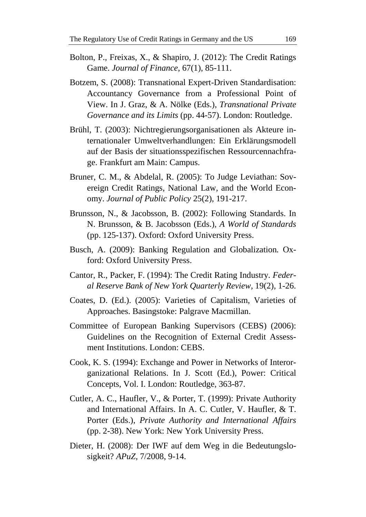- Bolton, P., Freixas, X., & Shapiro, J. (2012): The Credit Ratings Game. *Journal of Finance*, 67(1), 85-111.
- Botzem, S. (2008): Transnational Expert-Driven Standardisation: Accountancy Governance from a Professional Point of View. In J. Graz, & A. Nölke (Eds.), *Transnational Private Governance and its Limits* (pp. 44-57). London: Routledge.
- Brühl, T. (2003): Nichtregierungsorganisationen als Akteure internationaler Umweltverhandlungen: Ein Erklärungsmodell auf der Basis der situationsspezifischen Ressourcennachfrage. Frankfurt am Main: Campus.
- Bruner, C. M., & Abdelal, R. (2005): To Judge Leviathan: Sovereign Credit Ratings, National Law, and the World Economy. *Journal of Public Policy* 25(2), 191-217.
- Brunsson, N., & Jacobsson, B. (2002): Following Standards. In N. Brunsson, & B. Jacobsson (Eds.), *A World of Standards* (pp. 125-137). Oxford: Oxford University Press.
- Busch, A. (2009): Banking Regulation and Globalization*.* Oxford: Oxford University Press.
- Cantor, R., Packer, F. (1994): The Credit Rating Industry. *Federal Reserve Bank of New York Quarterly Review,* 19(2), 1-26.
- Coates, D. (Ed.). (2005): Varieties of Capitalism, Varieties of Approaches. Basingstoke: Palgrave Macmillan.
- Committee of European Banking Supervisors (CEBS) (2006): Guidelines on the Recognition of External Credit Assessment Institutions. London: CEBS.
- Cook, K. S. (1994): Exchange and Power in Networks of Interorganizational Relations. In J. Scott (Ed.), Power: Critical Concepts, Vol. I. London: Routledge, 363-87.
- Cutler, A. C., Haufler, V., & Porter, T. (1999): Private Authority and International Affairs. In A. C. Cutler, V. Haufler, & T. Porter (Eds.), *Private Authority and International Affairs* (pp. 2-38). New York: New York University Press.
- Dieter, H. (2008): Der IWF auf dem Weg in die Bedeutungslosigkeit? *APuZ,* 7/2008, 9-14.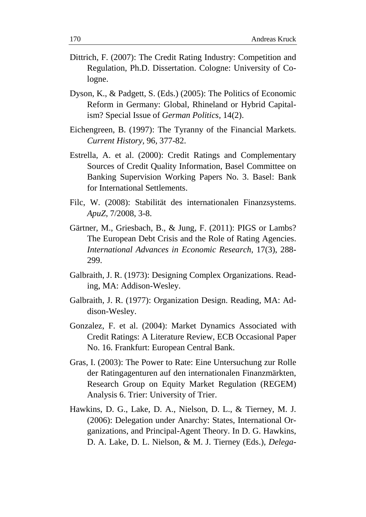- Dittrich, F. (2007): The Credit Rating Industry: Competition and Regulation, Ph.D. Dissertation. Cologne: University of Cologne.
- Dyson, K., & Padgett, S. (Eds.) (2005): The Politics of Economic Reform in Germany: Global, Rhineland or Hybrid Capitalism? Special Issue of *German Politics,* 14(2).
- Eichengreen, B. (1997): The Tyranny of the Financial Markets. *Current History,* 96, 377-82.
- Estrella, A. et al. (2000): Credit Ratings and Complementary Sources of Credit Quality Information, Basel Committee on Banking Supervision Working Papers No. 3. Basel: Bank for International Settlements.
- Filc, W. (2008): Stabilität des internationalen Finanzsystems. *ApuZ*, 7/2008, 3-8.
- Gärtner, M., Griesbach, B., & Jung, F. (2011): PIGS or Lambs? The European Debt Crisis and the Role of Rating Agencies. *International Advances in Economic Research*, 17(3), 288- 299.
- Galbraith, J. R. (1973): Designing Complex Organizations. Reading, MA: Addison-Wesley.
- Galbraith, J. R. (1977): Organization Design. Reading, MA: Addison-Wesley.
- Gonzalez, F. et al. (2004): Market Dynamics Associated with Credit Ratings: A Literature Review, ECB Occasional Paper No. 16. Frankfurt: European Central Bank.
- Gras, I. (2003): The Power to Rate: Eine Untersuchung zur Rolle der Ratingagenturen auf den internationalen Finanzmärkten, Research Group on Equity Market Regulation (REGEM) Analysis 6. Trier: University of Trier.
- Hawkins, D. G., Lake, D. A., Nielson, D. L., & Tierney, M. J. (2006): Delegation under Anarchy: States, International Organizations, and Principal-Agent Theory. In D. G. Hawkins, D. A. Lake, D. L. Nielson, & M. J. Tierney (Eds.), *Delega-*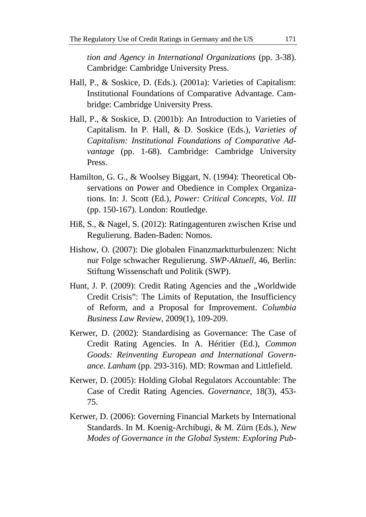*tion and Agency in International Organizations* (pp. 3-38). Cambridge: Cambridge University Press.

- Hall, P., & Soskice, D. (Eds.). (2001a): Varieties of Capitalism: Institutional Foundations of Comparative Advantage. Cambridge: Cambridge University Press.
- Hall, P., & Soskice, D. (2001b): An Introduction to Varieties of Capitalism. In P. Hall, & D. Soskice (Eds.), *Varieties of Capitalism: Institutional Foundations of Comparative Advantage* (pp. 1-68). Cambridge: Cambridge University Press.
- Hamilton, G. G., & Woolsey Biggart, N. (1994): Theoretical Observations on Power and Obedience in Complex Organizations. In: J. Scott (Ed.), *Power: Critical Concepts, Vol. III* (pp. 150-167). London: Routledge.
- Hiß, S., & Nagel, S. (2012): Ratingagenturen zwischen Krise und Regulierung. Baden-Baden: Nomos.
- Hishow, O. (2007): Die globalen Finanzmarktturbulenzen: Nicht nur Folge schwacher Regulierung. *SWP-Aktuell*, 46, Berlin: Stiftung Wissenschaft und Politik (SWP).
- Hunt, J. P. (2009): Credit Rating Agencies and the "Worldwide Credit Crisis": The Limits of Reputation, the Insufficiency of Reform, and a Proposal for Improvement. *Columbia Business Law Review*, 2009(1), 109-209.
- Kerwer, D. (2002): Standardising as Governance: The Case of Credit Rating Agencies. In A. Héritier (Ed.), *Common Goods: Reinventing European and International Governance. Lanham* (pp. 293-316). MD: Rowman and Littlefield.
- Kerwer, D. (2005): Holding Global Regulators Accountable: The Case of Credit Rating Agencies. *Governance,* 18(3), 453- 75.
- Kerwer, D. (2006): Governing Financial Markets by International Standards. In M. Koenig-Archibugi, & M. Zürn (Eds.), *New Modes of Governance in the Global System: Exploring Pub-*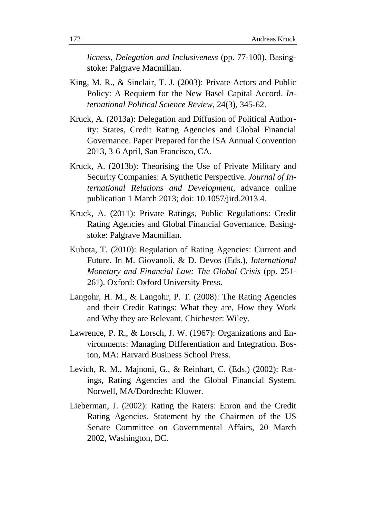*licness, Delegation and Inclusiveness* (pp. 77-100). Basingstoke: Palgrave Macmillan.

- King, M. R., & Sinclair, T. J. (2003): Private Actors and Public Policy: A Requiem for the New Basel Capital Accord. *International Political Science Review*, 24(3), 345-62.
- Kruck, A. (2013a): Delegation and Diffusion of Political Authority: States, Credit Rating Agencies and Global Financial Governance. Paper Prepared for the ISA Annual Convention 2013, 3-6 April, San Francisco, CA.
- Kruck, A. (2013b): Theorising the Use of Private Military and Security Companies: A Synthetic Perspective. *Journal of International Relations and Development*, advance online publication 1 March 2013; doi: 10.1057/jird.2013.4.
- Kruck, A. (2011): Private Ratings, Public Regulations: Credit Rating Agencies and Global Financial Governance. Basingstoke: Palgrave Macmillan.
- Kubota, T. (2010): Regulation of Rating Agencies: Current and Future. In M. Giovanoli, & D. Devos (Eds.), *International Monetary and Financial Law: The Global Crisis* (pp. 251- 261). Oxford: Oxford University Press.
- Langohr, H. M., & Langohr, P. T. (2008): The Rating Agencies and their Credit Ratings: What they are, How they Work and Why they are Relevant. Chichester: Wiley.
- Lawrence, P. R., & Lorsch, J. W. (1967): Organizations and Environments: Managing Differentiation and Integration. Boston, MA: Harvard Business School Press.
- Levich, R. M., Majnoni, G., & Reinhart, C. (Eds.) (2002): Ratings, Rating Agencies and the Global Financial System. Norwell, MA/Dordrecht: Kluwer.
- Lieberman, J. (2002): Rating the Raters: Enron and the Credit Rating Agencies. Statement by the Chairmen of the US Senate Committee on Governmental Affairs, 20 March 2002, Washington, DC.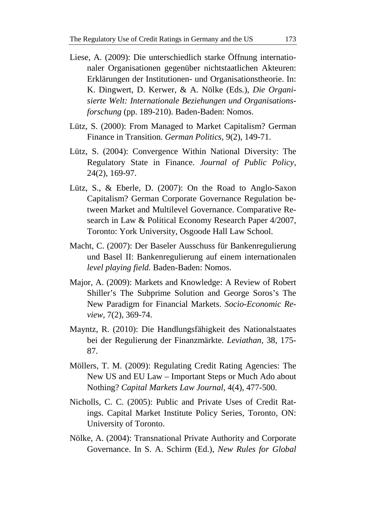- Liese, A. (2009): Die unterschiedlich starke Öffnung internationaler Organisationen gegenüber nichtstaatlichen Akteuren: Erklärungen der Institutionen- und Organisationstheorie. In: K. Dingwert, D. Kerwer, & A. Nölke (Eds*.*), *Die Organisierte Welt: Internationale Beziehungen und Organisationsforschung* (pp. 189-210). Baden-Baden: Nomos.
- Lütz, S. (2000): From Managed to Market Capitalism? German Finance in Transition. *German Politics*, 9(2), 149-71.
- Lütz, S. (2004): Convergence Within National Diversity: The Regulatory State in Finance. *Journal of Public Policy*, 24(2), 169-97.
- Lütz, S., & Eberle, D. (2007): On the Road to Anglo-Saxon Capitalism? German Corporate Governance Regulation between Market and Multilevel Governance. Comparative Research in Law & Political Economy Research Paper 4/2007, Toronto: York University, Osgoode Hall Law School.
- Macht, C. (2007): Der Baseler Ausschuss für Bankenregulierung und Basel II: Bankenregulierung auf einem internationalen *level playing field.* Baden-Baden: Nomos.
- Major, A. (2009): Markets and Knowledge: A Review of Robert Shiller's The Subprime Solution and George Soros's The New Paradigm for Financial Markets. *Socio-Economic Review,* 7(2), 369-74.
- Mayntz, R. (2010): Die Handlungsfähigkeit des Nationalstaates bei der Regulierung der Finanzmärkte. *Leviathan*, 38, 175- 87.
- Möllers, T. M. (2009): Regulating Credit Rating Agencies: The New US and EU Law – Important Steps or Much Ado about Nothing? *Capital Markets Law Journal*, 4(4), 477-500.
- Nicholls, C. C. (2005): Public and Private Uses of Credit Ratings. Capital Market Institute Policy Series, Toronto, ON: University of Toronto.
- Nölke, A. (2004): Transnational Private Authority and Corporate Governance. In S. A. Schirm (Ed.), *New Rules for Global*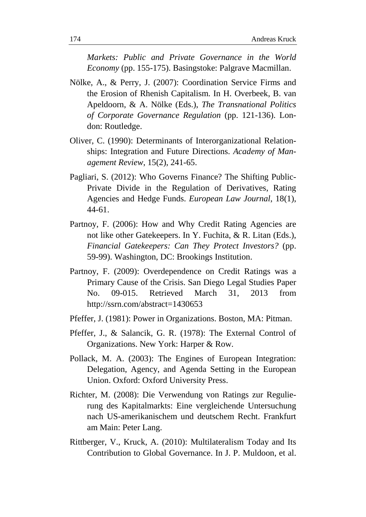*Markets: Public and Private Governance in the World Economy* (pp. 155-175). Basingstoke: Palgrave Macmillan.

- Nölke, A., & Perry, J. (2007): Coordination Service Firms and the Erosion of Rhenish Capitalism. In H. Overbeek, B. van Apeldoorn, & A. Nölke (Eds.), *The Transnational Politics of Corporate Governance Regulation* (pp. 121-136). London: Routledge.
- Oliver, C. (1990): Determinants of Interorganizational Relationships: Integration and Future Directions. *Academy of Management Review*, 15(2), 241-65.
- Pagliari, S. (2012): Who Governs Finance? The Shifting Public-Private Divide in the Regulation of Derivatives, Rating Agencies and Hedge Funds. *European Law Journal*, 18(1), 44-61.
- Partnoy, F. (2006): How and Why Credit Rating Agencies are not like other Gatekeepers. In Y. Fuchita, & R. Litan (Eds.), *Financial Gatekeepers: Can They Protect Investors?* (pp. 59-99). Washington, DC: Brookings Institution.
- Partnoy, F. (2009): Overdependence on Credit Ratings was a Primary Cause of the Crisis. San Diego Legal Studies Paper No. 09-015. Retrieved March 31, 2013 from http://ssrn.com/abstract=1430653
- Pfeffer, J. (1981): Power in Organizations. Boston, MA: Pitman.
- Pfeffer, J., & Salancik, G. R. (1978): The External Control of Organizations. New York: Harper & Row.
- Pollack, M. A. (2003): The Engines of European Integration: Delegation, Agency, and Agenda Setting in the European Union. Oxford: Oxford University Press.
- Richter, M. (2008): Die Verwendung von Ratings zur Regulierung des Kapitalmarkts: Eine vergleichende Untersuchung nach US-amerikanischem und deutschem Recht. Frankfurt am Main: Peter Lang.
- Rittberger, V., Kruck, A. (2010): Multilateralism Today and Its Contribution to Global Governance. In J. P. Muldoon, et al.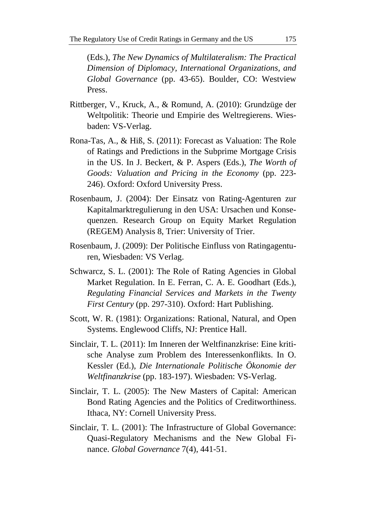(Eds.), *The New Dynamics of Multilateralism: The Practical Dimension of Diplomacy, International Organizations, and Global Governance* (pp. 43-65). Boulder, CO: Westview Press.

- Rittberger, V., Kruck, A., & Romund, A. (2010): Grundzüge der Weltpolitik: Theorie und Empirie des Weltregierens. Wiesbaden: VS-Verlag.
- Rona-Tas, A., & Hiß, S. (2011): Forecast as Valuation: The Role of Ratings and Predictions in the Subprime Mortgage Crisis in the US. In J. Beckert, & P. Aspers (Eds.), *The Worth of Goods: Valuation and Pricing in the Economy* (pp. 223- 246). Oxford: Oxford University Press.
- Rosenbaum, J. (2004): Der Einsatz von Rating-Agenturen zur Kapitalmarktregulierung in den USA: Ursachen und Konsequenzen. Research Group on Equity Market Regulation (REGEM) Analysis 8, Trier: University of Trier.
- Rosenbaum, J. (2009): Der Politische Einfluss von Ratingagenturen, Wiesbaden: VS Verlag.
- Schwarcz, S. L. (2001): The Role of Rating Agencies in Global Market Regulation. In E. Ferran, C. A. E. Goodhart (Eds.), *Regulating Financial Services and Markets in the Twenty First Century* (pp. 297-310). Oxford: Hart Publishing.
- Scott, W. R. (1981): Organizations: Rational, Natural, and Open Systems. Englewood Cliffs, NJ: Prentice Hall.
- Sinclair, T. L. (2011): Im Inneren der Weltfinanzkrise: Eine kritische Analyse zum Problem des Interessenkonflikts. In O. Kessler (Ed.), *Die Internationale Politische Ökonomie der Weltfinanzkrise* (pp. 183-197). Wiesbaden: VS-Verlag.
- Sinclair, T. L. (2005): The New Masters of Capital: American Bond Rating Agencies and the Politics of Creditworthiness. Ithaca, NY: Cornell University Press.
- Sinclair, T. L. (2001): The Infrastructure of Global Governance: Quasi-Regulatory Mechanisms and the New Global Finance. *Global Governance* 7(4), 441-51.